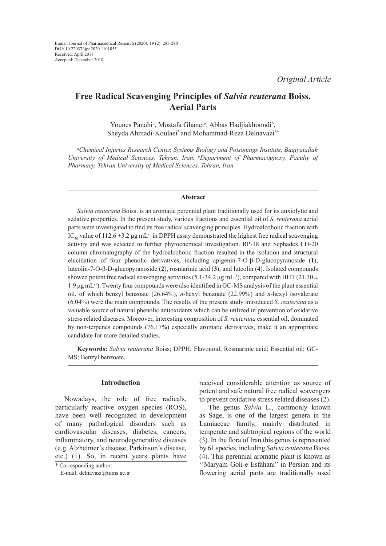*Original Article*

# **Free Radical Scavenging Principles of** *Salvia reuterana* **Boiss. Aerial Parts**

Younes Panahi<sup>a</sup>, Mostafa Ghanei<sup>a</sup>, Abbas Hadjiakhoondi<sup>b</sup>, Sheyda Ahmadi-Koulaei*<sup>b</sup>*and Mohammad-Reza Delnavazi*b\**

*a Chemical Injuries Research Center, Systems Biology and Poisonings Institute, Baqiyatallah University of Medical Sciences, Tehran, Iran. b Department of Pharmacognosy, Faculty of Pharmacy, Tehran University of Medical Sciences, Tehran, Iran.*

#### **Abstract**

*Salvia reuterana* Boiss. is an aromatic perennial plant traditionally used for its anxiolytic and sedative properties. In the present study, various fractions and essential oil of *S. reuterana* aerial parts were investigated to find its free radical scavenging principles. Hydroalcoholic fraction with IC<sub>50</sub> value of 112.6 ±3.2 μg mL<sup>-1</sup> in DPPH assay demonstrated the highest free radical scavenging activity and was selected to further phytochemical investigation. RP-18 and Sephadex LH-20 column chromatography of the hydroalcoholic fraction resulted in the isolation and structural elucidation of four phenolic derivatives, including apigenin-7-O-β-D-glucopyranoside (**1**), luteolin-7-O-β-D-glucopyranoside (**2**), rosmarinic acid (**3**), and luteolin (**4**). Isolated compounds showed potent free radical scavenging activities (5.1-34.2  $\mu$ g mL<sup>-1</sup>), compared with BHT (21.30 ± 1.9 μg mL-1). Twenty four compounds were also identified in GC-MS analysis of the plant essential oil, of which benzyl benzoate (26.64%), *n*-hexyl benzoate (22.99%) and *n*-hexyl isovalerate (6.04%) were the main compounds. The results of the present study introduced *S. reuterana* as a valuable source of natural phenolic antioxidants which can be utilized in prevention of oxidative stress related diseases. Moreover, interesting composition of *S. reuterana* essential oil, dominated by non-terpenes compounds (76.17%) especially aromatic derivatives, make it an appropriate candidate for more detailed studies.

**Keywords:** *Salvia reuterana* Boiss; DPPH; Flavonoid; Rosmarinic acid; Essential oil; GC-MS; Benzyl benzoate.

# **Introduction**

Nowadays, the role of free radicals, particularly reactive oxygen species (ROS), have been well recognized in development of many pathological disorders such as cardiovascular diseases, diabetes, cancers, inflammatory, and neurodegenerative diseases (e.g. Alzheimer's disease, Parkinson's disease, etc.) (1). So, in recent years plants have received considerable attention as source of potent and safe natural free radical scavengers to prevent oxidative stress related diseases (2).

The genus *Salvia* L., commonly known as Sage, is one of the largest genera in the Lamiaceae family, mainly distributed in temperate and subtropical regions of the world (3). In the flora of Iran this genus is represented by 61 species, including *Salvia reuterana* Bioss. (4). This perennial aromatic plant is known as ''Maryam Goli-e Esfahani" in Persian and its flowering aerial parts are traditionally used

<sup>\*</sup> Corresponding author:

E-mail: delnavazi@tums.ac.ir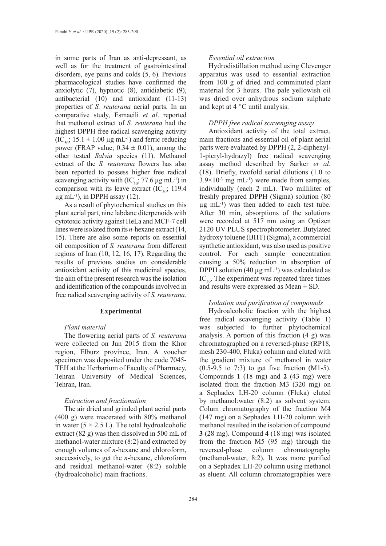in some parts of Iran as anti-depressant, as well as for the treatment of gastrointestinal disorders, eye pains and colds (5, 6). Previous pharmacological studies have confirmed the anxiolytic (7), hypnotic (8), antidiabetic (9), antibacterial (10) and antioxidant (11-13) properties of *S. reuterana* aerial parts. In an comparative study, Esmaeili *et al*. reported that methanol extract of *S. reuterana* had the highest DPPH free radical scavenging activity  $(IC_{50}; 15.1 \pm 1.00 \mu g \text{ mL}^{-1})$  and ferric reducing power (FRAP value;  $0.34 \pm 0.01$ ), among the other tested *Salvia* species (11). Methanol extract of the *S. reuterana* flowers has also been reported to possess higher free radical scavenging activity with  $(IC_{50}; 77.6 \mu g \text{ mL}^{-1})$  in comparison with its leave extract  $(IC_{50}; 119.4)$  $\mu$ g mL<sup>-1</sup>), in DPPH assay (12).

As a result of phytochemical studies on this plant aerial part, nine labdane diterpenoids with cytotoxic activity against HeLa and MCF-7 cell lines were isolated from its *n*-hexane extract (14, 15). There are also some reports on essential oil composition of *S. reuterana* from different regions of Iran (10, 12, 16, 17). Regarding the results of previous studies on considerable antioxidant activity of this medicinal species, the aim of the present research was the isolation and identification of the compounds involved in free radical scavenging activity of *S. reuterana.*

### **Experimental**

#### *Plant material*

The flowering aerial parts of *S. reuterana* were collected on Jun 2015 from the Khor region, Elburz province, Iran. A voucher specimen was deposited under the code 7045- TEH at the Herbarium of Faculty of Pharmacy, Tehran University of Medical Sciences, Tehran, Iran.

### *Extraction and fractionation*

The air dried and grinded plant aerial parts (400 g) were macerated with 80% methanol in water  $(5 \times 2.5 \text{ L})$ . The total hydroalcoholic extract (82 g) was then dissolved in 500 mL of methanol-water mixture (8:2) and extracted by enough volumes of *n*-hexane and chloroform, successively, to get the *n*-hexane, chloroform and residual methanol-water (8:2) soluble (hydroalcoholic) main fractions.

### *Essential oil extraction*

Hydrodistillation method using Clevenger apparatus was used to essential extraction from 100 g of dried and comminuted plant material for 3 hours. The pale yellowish oil was dried over anhydrous sodium sulphate and kept at 4 °C until analysis.

# *DPPH free radical scavenging assay*

Antioxidant activity of the total extract, main fractions and essential oil of plant aerial parts were evaluated by DPPH (2, 2-diphenyl-1-picryl-hydrazyl) free radical scavenging assay method described by Sarker *et al*. (18). Briefly, twofold serial dilutions (1.0 to  $3.9 \times 10^{-3}$  mg mL<sup>-1</sup>) were made from samples, individually (each 2 mL). Two milliliter of freshly prepared DPPH (Sigma) solution (80  $\mu$ g mL<sup>-1</sup>) was then added to each test tube. After 30 min, absorptions of the solutions were recorded at 517 nm using an Optizen 2120 UV PLUS spectrophotometer. Butylated hydroxy toluene (BHT) (Sigma), a commercial synthetic antioxidant, was also used as positive control. For each sample concentration causing a 50% reduction in absorption of DPPH solution (40  $\mu$ g mL<sup>-1</sup>) was calculated as  $IC_{50}$ . The experiment was repeated three times and results were expressed as Mean ± SD.

### *Isolation and purification of compounds*

Hydroalcoholic fraction with the highest free radical scavenging activity (Table 1) was subjected to further phytochemical analysis. A portion of this fraction (4 g) was chromatographed on a reversed-phase (RP18, mesh 230-400, Fluka) column and eluted with the gradient mixture of methanol in water (0.5-9.5 to 7:3) to get five fraction (M1-5). Compounds **1** (18 mg) and **2** (43 mg) were isolated from the fraction M3 (320 mg) on a Sephadex LH-20 column (Fluka) eluted by methanol:water (8:2) as solvent system. Colum chromatography of the fraction M4 (147 mg) on a Sephadex LH-20 column with methanol resulted in the isolation of compound **3** (28 mg). Compound **4** (18 mg) was isolated from the fraction M5 (95 mg) through the reversed-phase column chromatography (methanol-water, 8:2). It was more purified on a Sephadex LH-20 column using methanol as eluent. All column chromatographies were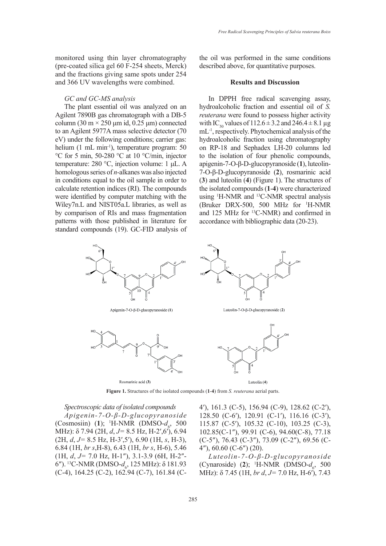monitored using thin layer chromatography (pre-coated silica gel 60 F-254 sheets, Merck) and the fractions giving same spots under 254 and 366 UV wavelengths were combined.

# *GC and GC-MS analysis*

The plant essential oil was analyzed on an Agilent 7890B gas chromatograph with a DB-5 column (30 m × 250 μm id, 0.25 μm) connected to an Agilent 5977A mass selective detector (70 eV) under the following conditions; carrier gas: helium (1 mL min<sup>-1</sup>), temperature program: 50 °C for 5 min, 50-280 °C at 10 °C/min, injector temperature: 280 °C, injection volume: 1 μL. A homologous series of *n*-alkanes was also injected in conditions equal to the oil sample in order to calculate retention indices (RI). The compounds were identified by computer matching with the Wiley7n.L and NIST05a.L libraries, as well as by comparison of RIs and mass fragmentation patterns with those published in literature for standard compounds (19). GC-FID analysis of the oil was performed in the same conditions described above, for quantitative purposes.

### **Results and Discussion**

In DPPH free radical scavenging assay, hydroalcoholic fraction and essential oil of *S. reuterana* were found to possess higher activity with IC<sub>50</sub> values of 112.6  $\pm$  3.2 and 246.4  $\pm$  8.1 µg mL-1, respectively. Phytochemical analysis of the hydroalcoholic fraction using chromatography on RP-18 and Sephadex LH-20 columns led to the isolation of four phenolic compounds, apigenin-7-O-β-D-glucopyranoside (**1**), luteolin-7-O-β-D-glucopyranoside (**2**), rosmarinic acid (**3**) and luteolin (**4**) (Figure 1). The structures of the isolated compounds (**1**-**4**) were characterized using 1 H-NMR and 13C-NMR spectral analysis (Bruker DRX-500, 500 MHz for <sup>1</sup> H-NMR and 125 MHz for 13C-NMR) and confirmed in accordance with bibliographic data (20-23).



**Figure 1.** Structures of the isolated compounds (**1**-**4**) from *S. reuterana* aerial parts.

*Spectroscopic data of isolated compounds Apigenin-7-O-β-D-glucopyranoside* (Cosmosiin) (1); <sup>1</sup>H-NMR (DMSO- $d_6$ , 500 MHz): δ 7.94 (2H, *d*, *J=* 8.5 Hz, H-2′,6′), 6.94 (2H, *d*, *J=* 8.5 Hz, H-3′,5′), 6.90 (1H, *s*, H-3), 6.84 (1H, *br s*,H-8), 6.43 (1H, *br s*, H-6), 5.46 (1H, *d*, *J=* 7.0 Hz, H-1″), 3.1-3.9 (6H, H-2″- 6"). <sup>13</sup>C-NMR (DMSO-*d<sub>6</sub>*, 125 MHz): δ 181.93 (C-4), 164.25 (C-2), 162.94 (C-7), 161.84 (C-

4′), 161.3 (C-5), 156.94 (C-9), 128.62 (C-2′), 128.50 (C-6′), 120.91 (C-1′), 116.16 (C-3′), 115.87 (C-5′), 105.32 (C-10), 103.25 (C-3), 102.85(C-1″), 99.91 (C-6), 94.60(C-8), 77.18 (C-5″), 76.43 (C-3″), 73.09 (C-2″), 69.56 (C-4″), 60.60 (C-6″) (20).

*Luteolin-7-O-β-D-glucopyranoside* (Cynaroside) (2); <sup>1</sup>H-NMR (DMSO- $d_6$ , 500 MHz): δ 7.45 (1H, *br d*, *J=* 7.0 Hz, H-6′), 7.43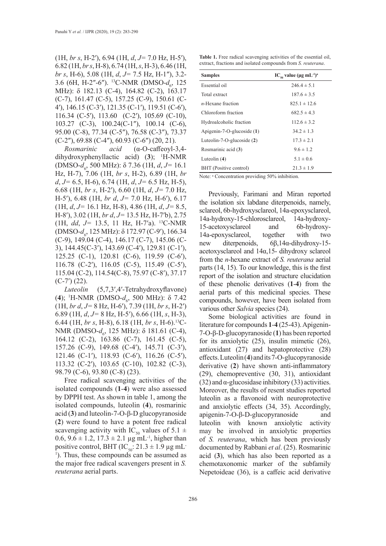(1H, *br s*, H-2′), 6.94 (1H, *d*, *J=* 7.0 Hz, H-5′), 6.82 (1H, *br s*, H-8), 6.74 (1H, *s*, H-3), 6.46 (1H, *br s*, H-6), 5.08 (1H, *d*, *J=* 7.5 Hz, H-1″), 3.2- 3.6 (6H, H-2"-6"). <sup>13</sup>C-NMR (DMSO- $d_6$ , 125 MHz): δ 182.13 (C-4), 164.82 (C-2), 163.17 (C-7), 161.47 (C-5), 157.25 (C-9), 150.61 (C-4′), 146.15 (C-3′), 121.35 (C-1′), 119.51 (C-6′), 116.34 (C-5′), 113.60 (C-2′), 105.69 (C-10), 103.27 (C-3), 100.24(C-1″), 100.14 (C-6), 95.00 (C-8), 77.34 (C-5″), 76.58 (C-3″), 73.37 (C-2″), 69.88 (C-4″), 60.93 (C-6″) (20, 21).

*Rosmarinic acid* (α-O-caffeoyl-3,4 dihydroxyphenyllactic acid) (**3**); 1 H-NMR (DMSO-*d*<sub>6</sub>, 500 MHz): δ 7.36 (1H, *d*, *J*= 16.1 Hz, H-7), 7.06 (1H, *br s*, H-2), 6.89 (1H, *br d*, *J=* 6.5, H-6), 6.74 (1H, *d*, *J=* 6.5 Hz, H-5), 6.68 (1H, *br s*, H-2′), 6.60 (1H, *d*, *J=* 7.0 Hz, H-5′), 6.48 (1H, *br d*, *J=* 7.0 Hz, H-6′), 6.17 (1H, *d*, *J=* 16.1 Hz, H-8), 4.86 (1H, *d*, *J=* 8.5, H-8′), 3.02 (1H, *br d*, *J=* 13.5 Hz, H-7′b), 2.75 (1H, *dd*, *J=* 13.5, 11 Hz, H-7′a). 13C-NMR (DMSO-*d<sub>6</sub>*, 125 MHz): δ 172.97 (C-9'), 166.34 (C-9), 149.04 (C-4), 146.17 (C-7), 145.06 (C-3), 144.45(C-3′), 143.69 (C-4′), 129.81 (C-1′), 125.25 (C-1), 120.81 (C-6), 119.59 (C-6′), 116.78 (C-2′), 116.05 (C-5), 115.49 (C-5′), 115.04 (C-2), 114.54(C-8), 75.97 (C-8′), 37.17  $(C-7') (22)$ .

*Luteolin* (5,7,3′,4′-Tetrahydroxyflavone) (4); <sup>1</sup>H-NMR (DMSO- $d_6$ , 500 MHz): δ 7.42 (1H, *br d*, *J=* 8 Hz, H-6′), 7.39 (1H, *br s*, H-2′) 6.89 (1H, *d*, *J=* 8 Hz, H-5′), 6.66 (1H, *s*, H-3), 6.44 (1H, *br s*, H-8), 6.18 (1H, *br s*, H-6).13C-NMR (DMSO-*d*<sub>6</sub>, 125 MHz): δ 181.61 (C-4), 164.12 (C-2), 163.86 (C-7), 161.45 (C-5), 157.26 (C-9), 149.68 (C-4′), 145.71 (C-3′), 121.46 (C-1′), 118.93 (C-6′), 116.26 (C-5′), 113.32 (C-2′), 103.65 (C-10), 102.82 (C-3), 98.79 (C-6), 93.80 (C-8) (23).

Free radical scavenging activities of the isolated compounds (**1**-**4**) were also assessed by DPPH test. As shown in table 1, among the isolated compounds, luteolin (**4**), rosmarinic acid (**3**) and luteolin-7-O-β-D glucopyranoside (**2**) were found to have a potent free radical scavenging activity with IC<sub>50</sub> values of 5.1  $\pm$ 0.6,  $9.6 \pm 1.2$ ,  $17.3 \pm 2.1$  µg mL<sup>-1</sup>, higher than positive control, BHT  $(IC_{50}: 21.3 \pm 1.9 \,\mu g \,\text{mL}^{-1})$ 1 ). Thus, these compounds can be assumed as the major free radical scavengers present in *S. reuterana* aerial parts.

**Table 1.** Free radical scavenging activities of the essential oil, extract, fractions and isolated compounds from *S. reuterana*.

| $IC_{\epsilon_0}$ value (µg mL <sup>-1</sup> ) <sup>a</sup><br><b>Samples</b> |                  |  |
|-------------------------------------------------------------------------------|------------------|--|
| Essential oil                                                                 | $246.4 \pm 5.1$  |  |
| Total extract                                                                 | $187.6 \pm 3.5$  |  |
| $n$ -Hexane fraction                                                          | $825.1 \pm 12.6$ |  |
| Chloroform fraction                                                           | $682.5 \pm 4.3$  |  |
| Hydroalcoholic fraction                                                       | $112.6 \pm 3.2$  |  |
| Apigenin-7-O-glucoside (1)                                                    | $34.2 \pm 1.3$   |  |
| Luteolin-7-O-glucoside $(2)$                                                  | $17.3 \pm 2.1$   |  |
| Rosmarinic acid (3)                                                           | $9.6 \pm 1.2$    |  |
| Luteolin $(4)$                                                                | $5.1 \pm 0.6$    |  |
| BHT (Positive control)                                                        | $21.3 \pm 1.9$   |  |

Note: <sup>a</sup> Concentration providing 50% inhibition.

Previously, Farimani and Miran reported the isolation six labdane diterpenoids, namely, sclareol, 6b-hydroxysclareol, 14a-epoxysclareol, 14a-hydroxy-15-chlorosclareol, 14a-hydroxy-15-acetoxysclareol and 6b-hydroxy-14a-epoxysclareol, together with two new diterpenoids, 6β,14α-dihydroxy-15 acetoxysclareol and 14α,15- dihydroxy sclareol from the *n*-hexane extract of *S. reuterana* aerial parts (14, 15). To our knowledge, this is the first report of the isolation and structure elucidation of these phenolic derivatives (**1**-**4**) from the aerial parts of this medicinal species. These compounds, however, have been isolated from various other *Salvia* species (24).

Some biological activities are found in literature for compounds **1**-**4** (25-43). Apigenin-7-O-β-D-glucopyranoside (**1**) has been reported for its anxiolytic (25), insulin mimetic (26), antioxidant (27) and hepatoprotective (28) effects. Luteolin (**4**) and its 7-O-glucopyranoside derivative (**2**) have shown anti-inflammatory (29), chemopreventive (30, 31), antioxidant (32) and  $\alpha$ -glucosidase inhibitory (33) activities. Moreover, the results of resent studies reported luteolin as a flavonoid with neuroprotective and anxiolytic effects (34, 35). Accordingly, apigenin-7-O-β-D-glucopyranoside and luteolin with known anxiolytic activity may be involved in anxiolytic properties of *S. reuterana*, which has been previously documented by Rabbani *et al*. (25). Rosmarinic acid (**3**), which has also been reported as a chemotaxonomic marker of the subfamily Nepetoideae (36), is a caffeic acid derivative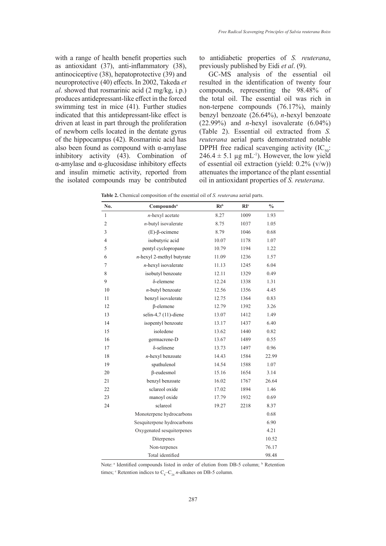with a range of health benefit properties such as antioxidant (37), anti-inflammatory (38), antinociceptive (38), hepatoprotective (39) and neuroprotective (40) effects. In 2002, Takeda *et al*. showed that rosmarinic acid (2 mg/kg, i.p.) produces antidepressant-like effect in the forced swimming test in mice (41). Further studies indicated that this antidepressant-like effect is driven at least in part through the proliferation of newborn cells located in the dentate gyrus of the hippocampus (42). Rosmarinic acid has also been found as compound with  $\alpha$ -amylase inhibitory activity (43). Combination of α-amylase and α-glucosidase inhibitory effects and insulin mimetic activity, reported from the isolated compounds may be contributed

to antidiabetic properties of *S. reuterana*, previously published by Eidi *et al*. (9).

GC-MS analysis of the essential oil resulted in the identification of twenty four compounds, representing the 98.48% of the total oil. The essential oil was rich in non-terpene compounds (76.17%), mainly benzyl benzoate (26.64%), *n*-hexyl benzoate  $(22.99\%)$  and *n*-hexyl isovalerate  $(6.04\%)$ (Table 2). Essential oil extracted from *S. reuterana* aerial parts demonstrated notable DPPH free radical scavenging activity  $(IC_{50}:$  $246.4 \pm 5.1$  µg mL<sup>-1</sup>). However, the low yield of essential oil extraction (yield: 0.2% (v/w)) attenuates the importance of the plant essential oil in antioxidant properties of *S. reuterana*.

| No.            | Compounds <sup>a</sup>       | Rt <sub>b</sub> | $\mathbf{R}$ <sup>c</sup> | $\frac{0}{0}$ |
|----------------|------------------------------|-----------------|---------------------------|---------------|
| $\mathbf{1}$   | $n$ -hexyl acetate           | 8.27            | 1009                      | 1.93          |
| $\overline{c}$ | $n$ -butyl isovalerate       | 8.75            | 1037                      | 1.05          |
| 3              | $(E)$ - $\beta$ -ocimene     | 8.79            | 1046                      | 0.68          |
| $\overline{4}$ | isobutyric acid              | 10.07           | 1178                      | 1.07          |
| 5              | pentyl cyclopropane          | 10.79           | 1194                      | 1.22          |
| 6              | $n$ -hexyl 2-methyl butyrate | 11.09           | 1236                      | 1.57          |
| 7              | $n$ -hexyl isovalerate       | 11.13           | 1245                      | 6.04          |
| 8              | isobutyl benzoate            | 12.11           | 1329                      | 0.49          |
| 9              | δ-elemene                    | 12.24           | 1338                      | 1.31          |
| 10             | n-butyl benzoate             | 12.56           | 1356                      | 4.45          |
| 11             | benzyl isovalerate           | 12.75           | 1364                      | 0.83          |
| 12             | $\beta$ -elemene             | 12.79           | 1392                      | 3.26          |
| 13             | selin-4,7 (11)-diene         | 13.07           | 1412                      | 1.49          |
| 14             | isopentyl benzoate           | 13.17           | 1437                      | 6.40          |
| 15             | isoledene                    | 13.62           | 1440                      | 0.82          |
| 16             | germacrene-D                 | 13.67           | 1489                      | 0.55          |
| 17             | $\delta$ -selinene           | 13.73           | 1497                      | 0.96          |
| 18             | $n$ -hexyl benzoate          | 14.43           | 1584                      | 22.99         |
| 19             | spathulenol                  | 14.54           | 1588                      | 1.07          |
| 20             | $\beta$ -eudesmol            | 15.16           | 1654                      | 3.14          |
| 21             | benzyl benzoate              | 16.02           | 1767                      | 26.64         |
| 22             | sclareol oxide               | 17.02           | 1894                      | 1.46          |
| 23             | manoyl oxide                 | 17.79           | 1932                      | 0.69          |
| 24             | sclareol                     | 19.27           | 2218                      | 8.37          |
|                | Monoterpene hydrocarbons     |                 |                           | 0.68          |
|                | Sesquiterpene hydrocarbons   |                 |                           | 6.90          |
|                | Oxygenated sesquiterpenes    |                 |                           | 4.21          |
|                | Diterpenes                   |                 |                           | 10.52         |
|                | Non-terpenes                 |                 |                           | 76.17         |
|                | Total identified             |                 |                           | 98.48         |

**Table 2.** Chemical composition of the essential oil of *S. reuterana* aerial parts.

Note:<sup>a</sup> Identified compounds listed in order of elution from DB-5 column; <sup>b</sup> Retention times;  $\textdegree$  Retention indices to  $\text{C}_{8}$ – $\text{C}_{24}$  *n*-alkanes on DB-5 column.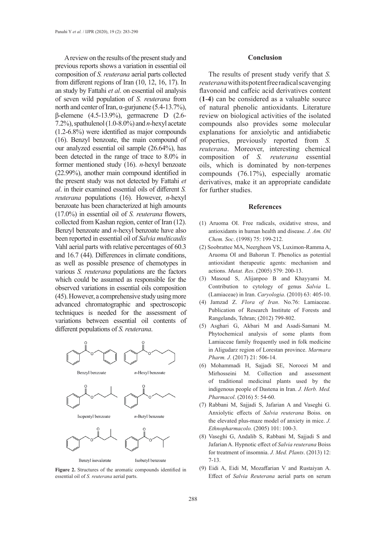A review on the results of the present study and previous reports shows a variation in essential oil composition of *S. reuterana* aerial parts collected from different regions of Iran (10, 12, 16, 17). In an study by Fattahi *et al*. on essential oil analysis of seven wild population of *S. reuterana* from north and center of Iran, α-gurjunene (5.4-13.7%), β-elemene (4.5-13.9%), germacrene D (2.6- 7.2%), spathulenol (1.0-8.0%) and *n*-hexyl acetate (1.2-6.8%) were identified as major compounds (16). Benzyl benzoate, the main compound of our analyzed essential oil sample (26.64%), has been detected in the range of trace to 8.0% in former mentioned study (16). *n-*hexyl benzoate (22.99%), another main compound identified in the present study was not detected by Fattahi *et al*. in their examined essential oils of different *S. reuterana* populations (16). However, *n*-hexyl benzoate has been characterized at high amounts (17.0%) in essential oil of *S. reuterana* flowers, collected from Kashan region, center of Iran (12). Benzyl benzoate and *n-*hexyl benzoate have also been reported in essential oil of *Salvia multicaulis* Vahl aerial parts with relative percentages of 60.3 and 16.7 (44). Differences in climate conditions, as well as possible presence of chemotypes in various *S. reuterana* populations are the factors which could be assumed as responsible for the observed variations in essential oils composition (45). However, a comprehensive study using more advanced chromatographic and spectroscopic techniques is needed for the assessment of variations between essential oil contents of different populations of *S. reuterana*.



**Figure 2.** Structures of the aromatic compounds identified in essential oil of *S. reuterana* aerial parts.

#### **Conclusion**

The results of present study verify that *S. reuterana* with its potent free radical scavenging flavonoid and caffeic acid derivatives content (**1**-**4**) can be considered as a valuable source of natural phenolic antioxidants. Literature review on biological activities of the isolated compounds also provides some molecular explanations for anxiolytic and antidiabetic properties, previously reported from *S. reuterana*. Moreover, interesting chemical composition of *S. reuterana* essential oils, which is dominated by non-terpenes compounds (76.17%), especially aromatic derivatives, make it an appropriate candidate for further studies.

#### **References**

- (1) Aruoma OI. Free radicals, oxidative stress, and antioxidants in human health and disease. *J. Am. Oil Chem. Soc*. (1998) 75: 199-212.
- (2) Soobrattee MA, Neergheen VS, Luximon-Ramma A, Aruoma OI and Bahorun T. Phenolics as potential antioxidant therapeutic agents: mechanism and actions. *Mutat. Res*. (2005) 579: 200-13.
- (3) Masoud S, Alijanpoo B and Khayyami M. Contribution to cytology of genus *Salvia* L. (Lamiaceae) in Iran. *Caryologia*. (2010) 63: 405-10.
- (4) Jamzad Z. *Flora of Iran*. No.76: Lamiaceae. Publication of Research Institute of Forests and Rangelands, Tehran; (2012) 799-802.
- (5) Asghari G, Akbari M and Asadi-Samani M. Phytochemical analysis of some plants from Lamiaceae family frequently used in folk medicine in Aligudarz region of Lorestan province. *Marmara Pharm. J*. (2017) 21: 506-14.
- (6) Mohammadi H, Sajjadi SE, Noroozi M and Mirhosseini M. Collection and assessment of traditional medicinal plants used by the indigenous people of Dastena in Iran. *J. Herb. Med. Pharmacol*. (2016) 5: 54-60.
- (7) Rabbani M, Sajjadi S, Jafarian A and Vaseghi G. Anxiolytic effects of *Salvia reuterana* Boiss. on the elevated plus-maze model of anxiety in mice. *J. Ethnopharmacolo.* (2005) 101: 100-3.
- (8) Vaseghi G, Andalib S, Rabbani M, Sajjadi S and Jafarian A. Hypnotic effect of *Salvia reuterana* Boiss for treatment of insomnia. *J. Med. Plants*. (2013) 12: 7-13.
- (9) Eidi A, Eidi M, Mozaffarian V and Rustaiyan A. Effect of *Salvia Reuterana* aerial parts on serum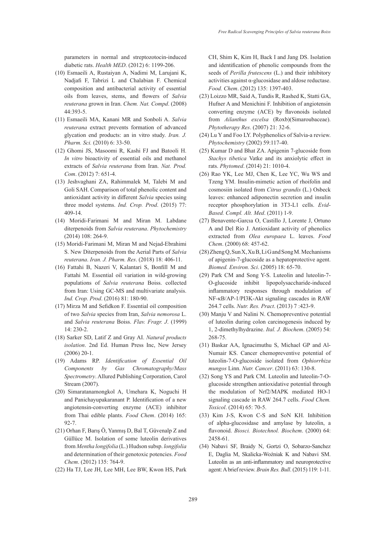parameters in normal and streptozotocin-induced diabetic rats. *Health MED*. (2012) 6: 1199-206.

- (10) Esmaeili A, Rustaiyan A, Nadimi M, Larujani K, Nadjafi F, Tabrizi L and Chalabian F. Chemical composition and antibacterial activity of essential oils from leaves, stems, and flowers of *Salvia reuterana* grown in Iran. *Chem. Nat. Compd*. (2008) 44:393-5.
- (11) Esmaeili MA, Kanani MR and Sonboli A. *Salvia reuterana* extract prevents formation of advanced glycation end products: an in vitro study. *Iran. J. Pharm. Sci.* (2010) 6: 33-50.
- (12) Ghomi JS, Masoomi R, Kashi FJ and Batooli H. *In vitro* bioactivity of essential oils and methanol extracts of *Salvia reuterana* from Iran. *Nat. Prod. Com*. (2012) 7: 651-4.
- (13) Jeshvaghani ZA, Rahimmalek M, Talebi M and Goli SAH. Comparison of total phenolic content and antioxidant activity in different *Salvia* species using three model systems. *Ind. Crop. Prod*. (2015) 77: 409-14.
- (14) Moridi-Farimani M and Miran M. Labdane diterpenoids from *Salvia reuterana*. *Phytochemistry* (2014) 108: 264-9.
- (15) Moridi-Farimani M, Miran M and Nejad-Ebrahimi S. New Diterpenoids from the Aerial Parts of *Salvia reuterana*. *Iran. J. Pharm. Res*. (2018) 18: 406-11.
- (16) Fattahi B, Nazeri V, Kalantari S, Bonfill M and Fattahi M. Essential oil variation in wild-growing populations of *Salvia reuterana* Boiss. collected from Iran: Using GC-MS and multivariate analysis. *Ind. Crop. Prod*. (2016) 81: 180-90.
- (17) Mirza M and Sefidkon F. Essential oil composition of two *Salvia* species from Iran, *Salvia nemorosa* L. and *Salvia reuterana* Boiss. *Flav. Fragr. J*. (1999) 14: 230-2.
- (18) Sarker SD, Latif Z and Gray AI. *Natural products isolation*. 2nd Ed. Human Press Inc, New Jersey (2006) 20-1.
- (19) Adams RP. *Identification of Essential Oil Components by Gas Chromatography/Mass Spectrometry*. Allured Publishing Corporation, Carol Stream (2007).
- (20) Simaratanamongkol A, Umehara K, Noguchi H and Panichayupakaranant P. Identification of a new angiotensin-converting enzyme (ACE) inhibitor from Thai edible plants. *Food Chem*. (2014) 165: 92-7.
- (21) Orhan F, Barış Ö, Yanmış D, Bal T, Güvenalp Z and Güllüce M. Isolation of some luteolin derivatives from *Mentha longifolia* (L.) Hudson subsp. *longifolia* and determination of their genotoxic potencies. *Food Chem*. (2012) 135: 764-9.
- (22) Ha TJ, Lee JH, Lee MH, Lee BW, Kwon HS, Park

CH, Shim K, Kim H, Back I and Jang DS. Isolation and identification of phenolic compounds from the seeds of *Perilla frutescens* (L.) and their inhibitory activities against α-glucosidase and aldose reductase. *Food. Chem*. (2012) 135: 1397-403.

- (23) Loizzo MR, Said A, Tundis R, Rashed K, Statti GA, Hufner A and Menichini F. Inhibition of angiotensin converting enzyme (ACE) by flavonoids isolated from *Ailanthus excelsa* (Roxb)(Simaroubaceae). *Phytotherapy Res*. (2007) 21: 32-6.
- (24) Lu Y and Foo LY. Polyphenolics of Salvia-a review. *Phytochemistry* (2002) 59:117-40.
- (25) Kumar D and Bhat ZA. Apigenin 7-glucoside from *Stachys tibetica* Vatke and its anxiolytic effect in rats. *Phytomed*. (2014) 21: 1010-4.
- (26) Rao YK, Lee MJ, Chen K, Lee YC, Wu WS and Tzeng YM. Insulin-mimetic action of rhoifolin and cosmosiin isolated from *Citrus grandis* (L.) Osbeck leaves: enhanced adiponectin secretion and insulin receptor phosphorylation in 3T3-L1 cells. *Evid-Based. Compl. Alt. Med*. (2011) 1-9.
- (27) Benavente-Garcıa O, Castillo J, Lorente J, Ortuno A and Del Rio J. Antioxidant activity of phenolics extracted from *Olea europaea* L. leaves. *Food Chem*. (2000) 68: 457-62.
- (28) Zheng Q, Sun X, Xu B, Li G and Song M. Mechanisms of apigenin-7-glucoside as a hepatoprotective agent. *Biomed. Environ. Sci*. (2005) 18: 65-70.
- (29) Park CM and Song Y-S. Luteolin and luteolin-7- O-glucoside inhibit lipopolysaccharide-induced inflammatory responses through modulation of NF-κB/AP-1/PI3K-Akt signaling cascades in RAW 264.7 cells. *Nutr. Res. Pract*. (2013) 7 :423-9.
- (30) Manju V and Nalini N. Chemopreventive potential of luteolin during colon carcinogenesis induced by 1, 2-dimethylhydrazine. *Ital. J. Biochem*. (2005) 54: 268-75.
- (31) Baskar AA, Ignacimuthu S, Michael GP and Al-Numair KS. Cancer chemopreventive potential of luteolin-7-O-glucoside isolated from *Ophiorrhiza mungos* Linn. *Nutr. Cancer*. (2011) 63: 130-8.
- (32) Song YS and Park CM. Luteolin and luteolin-7-Oglucoside strengthen antioxidative potential through the modulation of Nrf2/MAPK mediated HO-1 signaling cascade in RAW 264.7 cells. *Food Chem. Toxicol*. (2014) 65: 70-5.
- (33) Kim J-S, Kwon C-S and SoN KH. Inhibition of alpha-glucosidase and amylase by luteolin, a flavonoid. *Biosci. Biotechnol. Biochem*. (2000) 64: 2458-61.
- (34) Nabavi SF, Braidy N, Gortzi O, Sobarzo-Sanchez E, Daglia M, Skalicka-Woźniak K and Nabavi SM. Luteolin as an anti-inflammatory and neuroprotective agent: A brief review. *Brain Res. Bull*. (2015) 119: 1-11.